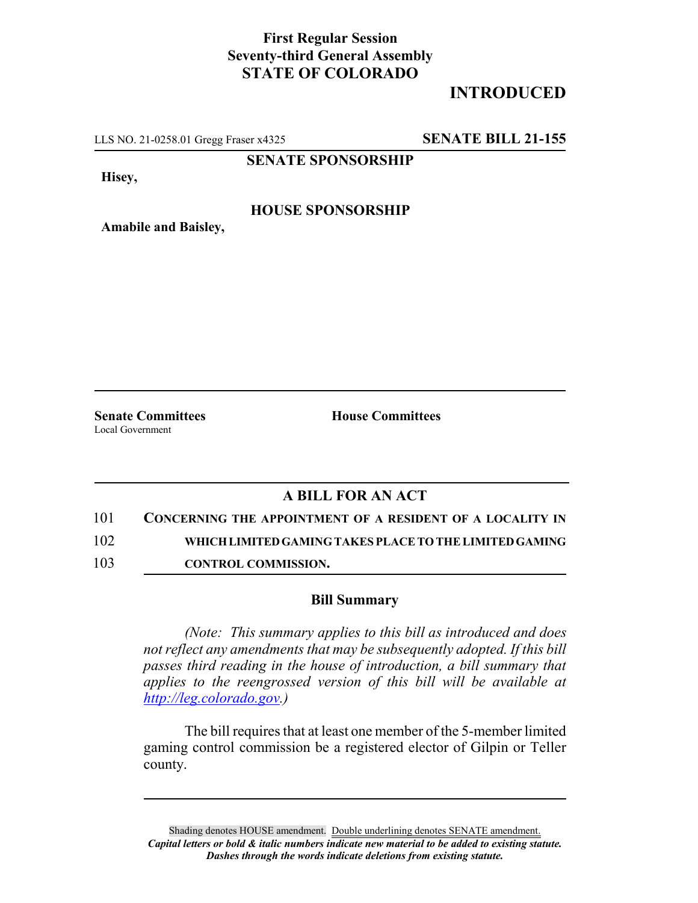## **First Regular Session Seventy-third General Assembly STATE OF COLORADO**

# **INTRODUCED**

LLS NO. 21-0258.01 Gregg Fraser x4325 **SENATE BILL 21-155**

**SENATE SPONSORSHIP**

**Hisey,**

#### **HOUSE SPONSORSHIP**

**Amabile and Baisley,**

Local Government

**Senate Committees House Committees** 

### **A BILL FOR AN ACT**

101 **CONCERNING THE APPOINTMENT OF A RESIDENT OF A LOCALITY IN**

102 **WHICH LIMITED GAMING TAKES PLACE TO THE LIMITED GAMING**

103 **CONTROL COMMISSION.**

### **Bill Summary**

*(Note: This summary applies to this bill as introduced and does not reflect any amendments that may be subsequently adopted. If this bill passes third reading in the house of introduction, a bill summary that applies to the reengrossed version of this bill will be available at http://leg.colorado.gov.)*

The bill requires that at least one member of the 5-member limited gaming control commission be a registered elector of Gilpin or Teller county.

Shading denotes HOUSE amendment. Double underlining denotes SENATE amendment. *Capital letters or bold & italic numbers indicate new material to be added to existing statute. Dashes through the words indicate deletions from existing statute.*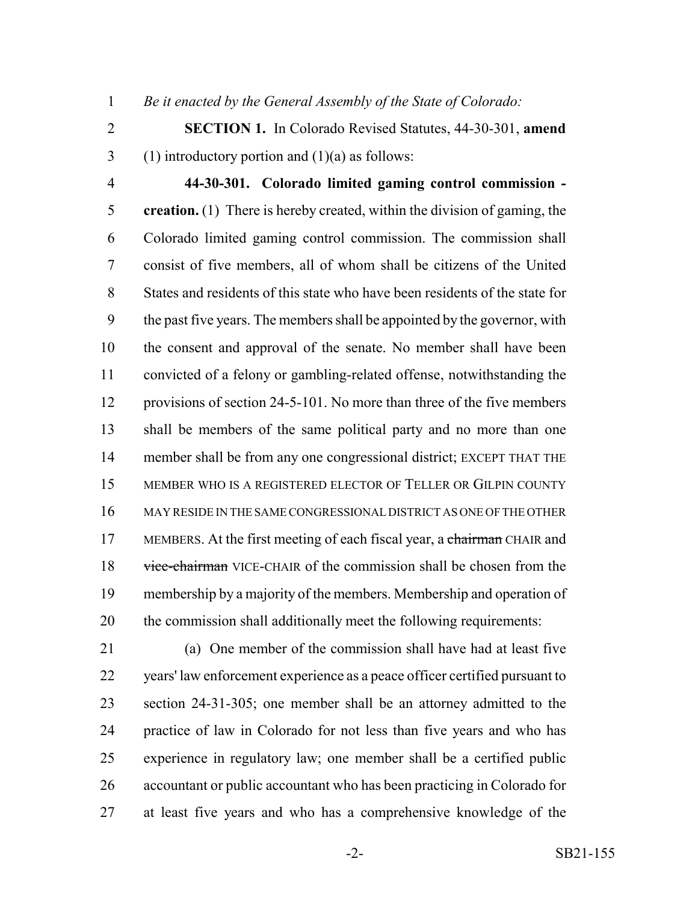*Be it enacted by the General Assembly of the State of Colorado:*

- **SECTION 1.** In Colorado Revised Statutes, 44-30-301, **amend** 3 (1) introductory portion and  $(1)(a)$  as follows:
- 

 **44-30-301. Colorado limited gaming control commission - creation.** (1) There is hereby created, within the division of gaming, the Colorado limited gaming control commission. The commission shall consist of five members, all of whom shall be citizens of the United States and residents of this state who have been residents of the state for the past five years. The members shall be appointed by the governor, with the consent and approval of the senate. No member shall have been convicted of a felony or gambling-related offense, notwithstanding the provisions of section 24-5-101. No more than three of the five members shall be members of the same political party and no more than one member shall be from any one congressional district; EXCEPT THAT THE MEMBER WHO IS A REGISTERED ELECTOR OF TELLER OR GILPIN COUNTY MAY RESIDE IN THE SAME CONGRESSIONAL DISTRICT AS ONE OF THE OTHER 17 MEMBERS. At the first meeting of each fiscal year, a chairman CHAIR and 18 vice-chairman VICE-CHAIR of the commission shall be chosen from the membership by a majority of the members. Membership and operation of the commission shall additionally meet the following requirements:

 (a) One member of the commission shall have had at least five years' law enforcement experience as a peace officer certified pursuant to section 24-31-305; one member shall be an attorney admitted to the practice of law in Colorado for not less than five years and who has experience in regulatory law; one member shall be a certified public accountant or public accountant who has been practicing in Colorado for at least five years and who has a comprehensive knowledge of the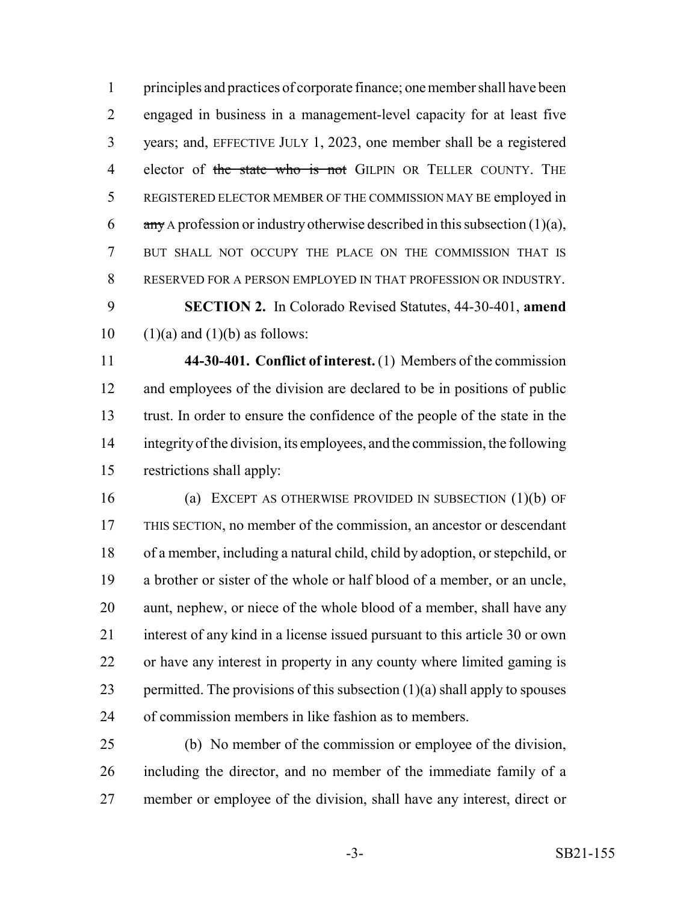principles and practices of corporate finance; one member shall have been engaged in business in a management-level capacity for at least five years; and, EFFECTIVE JULY 1, 2023, one member shall be a registered 4 elector of the state who is not GILPIN OR TELLER COUNTY. THE REGISTERED ELECTOR MEMBER OF THE COMMISSION MAY BE employed in  $\frac{any}{ay}$  A profession or industry otherwise described in this subsection (1)(a), BUT SHALL NOT OCCUPY THE PLACE ON THE COMMISSION THAT IS RESERVED FOR A PERSON EMPLOYED IN THAT PROFESSION OR INDUSTRY. **SECTION 2.** In Colorado Revised Statutes, 44-30-401, **amend**  $(1)(a)$  and  $(1)(b)$  as follows:

 **44-30-401. Conflict of interest.** (1) Members of the commission and employees of the division are declared to be in positions of public trust. In order to ensure the confidence of the people of the state in the integrity of the division, its employees, and the commission, the following restrictions shall apply:

 (a) EXCEPT AS OTHERWISE PROVIDED IN SUBSECTION (1)(b) OF THIS SECTION, no member of the commission, an ancestor or descendant of a member, including a natural child, child by adoption, or stepchild, or a brother or sister of the whole or half blood of a member, or an uncle, aunt, nephew, or niece of the whole blood of a member, shall have any interest of any kind in a license issued pursuant to this article 30 or own or have any interest in property in any county where limited gaming is 23 permitted. The provisions of this subsection  $(1)(a)$  shall apply to spouses of commission members in like fashion as to members.

 (b) No member of the commission or employee of the division, including the director, and no member of the immediate family of a member or employee of the division, shall have any interest, direct or